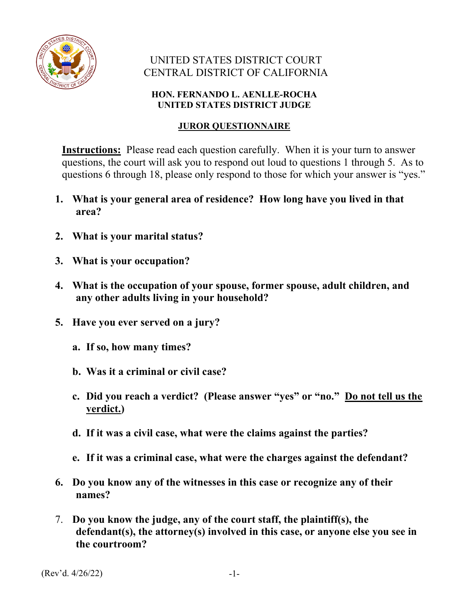

## UNITED STATES DISTRICT COURT CENTRAL DISTRICT OF CALIFORNIA

## **HON. FERNANDO L. AENLLE-ROCHA UNITED STATES DISTRICT JUDGE**

## **JUROR QUESTIONNAIRE**

**Instructions:** Please read each question carefully. When it is your turn to answer questions, the court will ask you to respond out loud to questions 1 through 5. As to questions 6 through 18, please only respond to those for which your answer is "yes."

- **1. What is your general area of residence? How long have you lived in that area?**
- **2. What is your marital status?**
- **3. What is your occupation?**
- **4. What is the occupation of your spouse, former spouse, adult children, and any other adults living in your household?**
- **5. Have you ever served on a jury?** 
	- **a. If so, how many times?**
	- **b. Was it a criminal or civil case?**
	- **c. Did you reach a verdict? (Please answer "yes" or "no." Do not tell us the verdict.)**
	- **d. If it was a civil case, what were the claims against the parties?**
	- **e. If it was a criminal case, what were the charges against the defendant?**
- **6. Do you know any of the witnesses in this case or recognize any of their names?**
- 7. **Do you know the judge, any of the court staff, the plaintiff(s), the defendant(s), the attorney(s) involved in this case, or anyone else you see in the courtroom?**